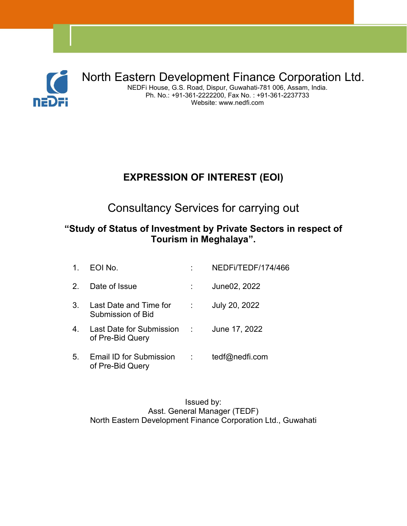

North Eastern Development Finance Corporation Ltd. NEDFi House, G.S. Road, Dispur, Guwahati-781 006, Assam, India. Ph. No.: +91-361-2222200, Fax No. : +91-361-2237733 Website: www.nedfi.com

## **EXPRESSION OF INTEREST (EOI)**

Consultancy Services for carrying out

#### **"Study of Status of Investment by Private Sectors in respect of Tourism in Meghalaya".**

| $\mathbf{1}$ . | EOI No.                                                      | NEDFI/TEDF/174/466 |
|----------------|--------------------------------------------------------------|--------------------|
| 2 <sup>2</sup> | Date of Issue                                                | June02, 2022       |
| 3 <sub>1</sub> | Last Date and Time for :<br>Submission of Bid                | July 20, 2022      |
| 4.             | Last Date for Submission : June 17, 2022<br>of Pre-Bid Query |                    |
| 5 <sub>1</sub> | Email ID for Submission :<br>of Pre-Bid Query                | tedf@nedfi.com     |

Issued by: Asst. General Manager (TEDF) North Eastern Development Finance Corporation Ltd., Guwahati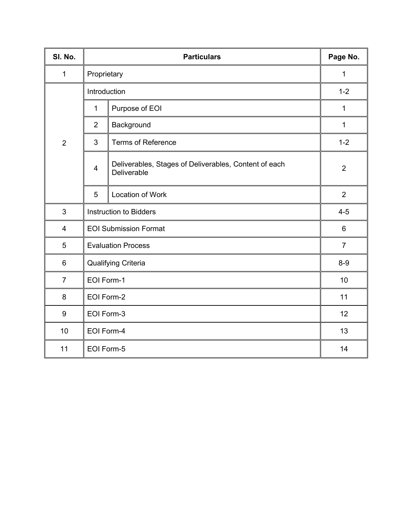| SI. No.         |                               | Page No.                                                             |                |
|-----------------|-------------------------------|----------------------------------------------------------------------|----------------|
| $\mathbf 1$     |                               | Proprietary                                                          |                |
|                 | Introduction                  |                                                                      | $1 - 2$        |
|                 | $\mathbf 1$                   | Purpose of EOI                                                       | $\mathbf 1$    |
|                 | $\overline{2}$                | Background                                                           | $\mathbf 1$    |
| $\overline{2}$  | $\overline{3}$                | <b>Terms of Reference</b>                                            | $1 - 2$        |
|                 | $\overline{4}$                | Deliverables, Stages of Deliverables, Content of each<br>Deliverable | $\overline{2}$ |
|                 | $5\phantom{.0}$               | Location of Work                                                     | 2              |
| 3               | <b>Instruction to Bidders</b> |                                                                      | $4 - 5$        |
| 4               | <b>EOI Submission Format</b>  |                                                                      | 6              |
| 5               | <b>Evaluation Process</b>     |                                                                      | $\overline{7}$ |
| $\,6\,$         | Qualifying Criteria           |                                                                      | $8-9$          |
| $\overline{7}$  | EOI Form-1                    |                                                                      | 10             |
| $\bf 8$         | EOI Form-2                    |                                                                      | 11             |
| $9\,$           | EOI Form-3                    |                                                                      | 12             |
| 10 <sup>°</sup> |                               | EOI Form-4                                                           |                |
| 11              |                               | EOI Form-5                                                           |                |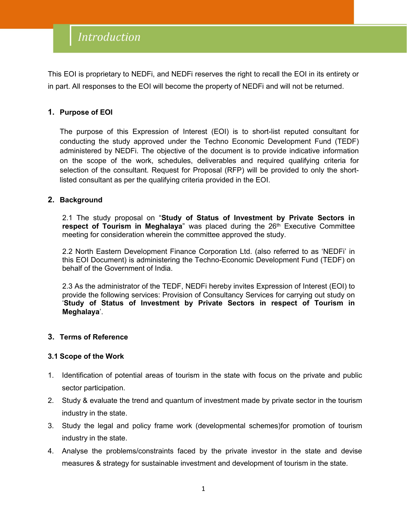## Introduction

This EOI is proprietary to NEDFi, and NEDFi reserves the right to recall the EOI in its entirety or in part. All responses to the EOI will become the property of NEDFi and will not be returned.

#### **1. Purpose of EOI**

The purpose of this Expression of Interest (EOI) is to short-list reputed consultant for conducting the study approved under the Techno Economic Development Fund (TEDF) administered by NEDFi. The objective of the document is to provide indicative information on the scope of the work, schedules, deliverables and required qualifying criteria for selection of the consultant. Request for Proposal (RFP) will be provided to only the shortlisted consultant as per the qualifying criteria provided in the EOI.

#### **2. Background**

2.1 The study proposal on "**Study of Status of Investment by Private Sectors in respect of Tourism in Meghalaya**" was placed during the 26 th Executive Committee meeting for consideration wherein the committee approved the study.

2.2 North Eastern Development Finance Corporation Ltd. (also referred to as 'NEDFi' in this EOI Document) is administering the Techno-Economic Development Fund (TEDF) on behalf of the Government of India.

2.3 As the administrator of the TEDF, NEDFihereby invites Expression of Interest (EOI) to provide the following services: Provision of Consultancy Services for carrying out study on '**Study of Status of Investment by Private Sectors in respect of Tourism in Meghalaya**'.

#### **3. Terms of Reference**

#### **3.1 Scope of the Work**

- 1. Identification of potential areas of tourism in the state with focus on the private and public sector participation.
- 2. Study & evaluate the trend and quantum of investment made by private sector in the tourism industry in the state.
- 3. Study the legal and policy frame work (developmental schemes)for promotion of tourism industry in the state.
- 4. Analyse the problems/constraints faced by the private investor in the state and devise measures & strategy for sustainable investment and development of tourism in the state.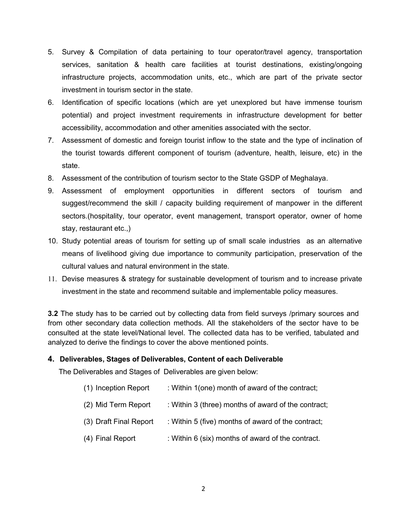- 5. Survey & Compilation of data pertaining to tour operator/travel agency, transportation services, sanitation & health care facilities at tourist destinations, existing/ongoing infrastructure projects, accommodation units, etc., which are part of the private sector investment in tourism sector in the state.
- 6. Identification of specific locations (which are yet unexplored but have immense tourism potential) and project investment requirements in infrastructure development for better accessibility, accommodation and other amenities associated with the sector.
- 7. Assessment of domestic and foreign tourist inflow to the state and the type of inclination of the tourist towards different component of tourism (adventure, health, leisure, etc) in the state.
- 8. Assessment of the contribution of tourism sector to the State GSDP of Meghalaya.
- 9. Assessment of employment opportunities in different sectors of tourism and suggest/recommend the skill / capacity building requirement of manpower in the different sectors.(hospitality, tour operator, event management, transport operator, owner of home stay, restaurant etc.,)
- 10. Study potential areas of tourism for setting up of small scale industries as an alternative means of livelihood giving due importance to community participation, preservation of the cultural values and natural environment in the state.
- 11. Devise measures & strategy for sustainable development of tourism and to increase private investment in the state and recommend suitable and implementable policy measures.

**3.2** The study has to be carried out by collecting data from field surveys /primary sources and from other secondary data collection methods. All the stakeholders of the sector have to be consulted at the state level/National level. The collected data has to be verified, tabulated and analyzed to derive the findings to cover the above mentioned points.

#### **4. Deliverables, Stages of Deliverables, Content of each Deliverable**

The Deliverables and Stages of Deliverables are given below:

| (1) Inception Report   | : Within 1(one) month of award of the contract;     |
|------------------------|-----------------------------------------------------|
| (2) Mid Term Report    | : Within 3 (three) months of award of the contract; |
| (3) Draft Final Report | : Within 5 (five) months of award of the contract;  |
| (4) Final Report       | : Within 6 (six) months of award of the contract.   |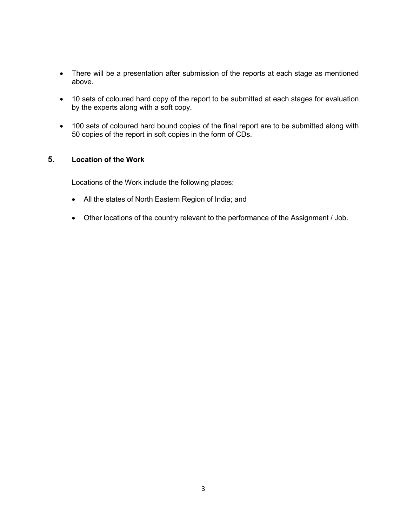- There will be a presentation after submission of the reports at each stage as mentioned above.
- 10 sets of coloured hard copy of the report to be submitted at each stages for evaluation by the experts along with a soft copy.
- 100 sets of coloured hard bound copies of the final report are to be submitted along with 50 copies of the report in soft copies in the form of CDs.

#### **5. Location of the Work**

Locations of the Work include the following places:

- All the states of North Eastern Region of India; and
- Other locations of the country relevant to the performance of the Assignment / Job.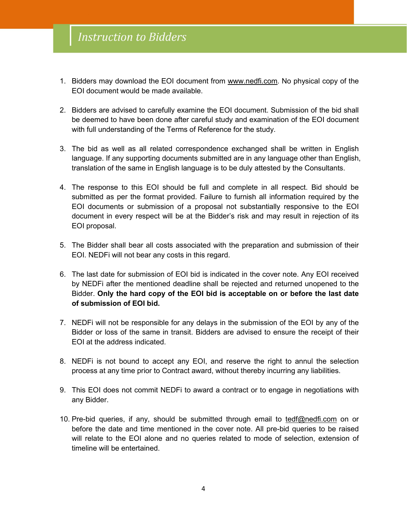- 1. Bidders may download the EOI document from [www.nedfi.com](http://www.nedfi.com). No physical copy of the EOI document would be made available.
- 2. Bidders are advised to carefully examine the EOI document. Submission of the bid shall be deemed to have been done after careful study and examination of the EOI document with full understanding of the Terms of Reference for the study.
- 3. The bid as well as all related correspondence exchanged shall be written in English language. If any supporting documents submitted are in any language other than English, translation of the same in English language is to be duly attested by the Consultants.
- 4. The response to this EOI should be full and complete in all respect. Bid should be submitted as per the format provided. Failure to furnish all information required by the EOI documents or submission of a proposal not substantially responsive to the EOI document in every respect will be at the Bidder's risk and may result in rejection of its EOI proposal.
- 5. The Bidder shall bear all costs associated with the preparation and submission of their EOI. NEDFi will not bear any costs in this regard.<br>6. The last date for submission of EOI bid is indicated in the cover note. Any EOI received
- by NEDFi after the mentioned deadline shall be rejected and returned unopened to the Bidder. **Only the hard copy of the EOI bid is acceptable on or before the last date of submission of EOI bid.**
- 7. NEDFi will not be responsible for any delays in the submission of the EOI by any of the Bidder or loss of the same in transit. Bidders are advised to ensure the receipt of their EOI at the address indicated.
- 8. NEDFi is not bound to accept any EOI, and reserve the right to annul the selection process at any time prior to Contract award, without thereby incurring any liabilities.
- 9. This EOI does not commit NEDFi to award a contract or to engage in negotiations with any Bidder.
- 10. Pre-bid queries, if any, should be submitted through email to [tedf@nedfi.com](mailto:tedf@nedfi.com) on or before the date and time mentioned in the cover note. All pre-bid queries to be raised will relate to the EOI alone and no queries related to mode of selection, extension of timeline will be entertained.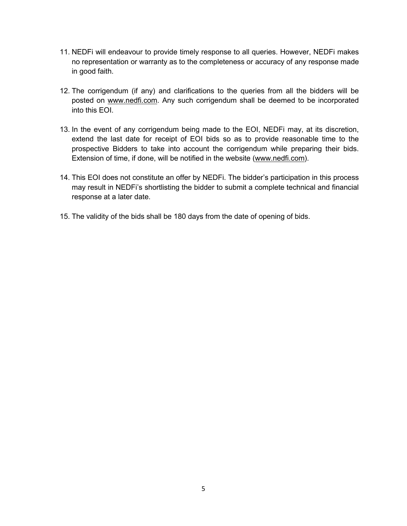- 11. NEDFi will endeavour to provide timely response to all queries. However, NEDFi makes no representation or warranty as to the completeness or accuracy of any response made in good faith.
- 12. The corrigendum (if any) and clarifications to the queries from all the bidders will be posted on [www.nedfi.com.](http://www.nedfi.com) Any such corrigendum shall be deemed to be incorporated into this EOI.
- 13. In the event of any corrigendum being made to the EOI, NEDFi may, at its discretion, extend the last date for receipt of EOI bids so as to provide reasonable time to the prospective Bidders to take into account the corrigendum while preparing their bids. Extension of time, if done, will be notified in the website ([www.nedfi.com](http://www.nedfi.com)).
- 14. This EOI does not constitute an offer by NEDFi. The bidder's participation in this process may result in NEDFi's shortlisting the bidder to submit a complete technical and financial response at a later date.
- 15. The validity of the bids shall be 180 days from the date of opening of bids.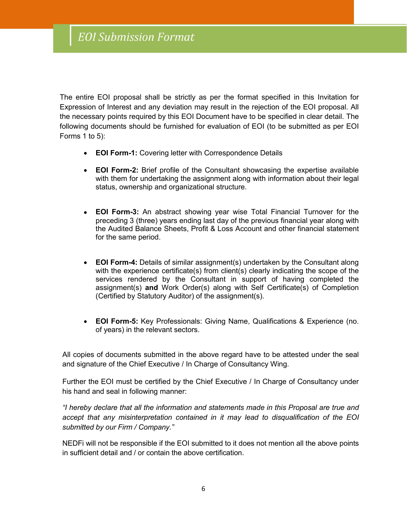The entire EOI proposal shall be strictly as per the format specified in this Invitation for Expression of Interest and any deviation may result in the rejection of the EOI proposal. All the necessary points required by this EOI Document have to be specified in clear detail. The following documents should be furnished for evaluation of EOI (to be submitted as per EOI Forms 1 to 5):

- **EOI Form-1:** Covering letter with Correspondence Details
- **EOI Form-2:** Brief profile of the Consultant showcasing the expertise available with them for undertaking the assignment along with information about their legal status, ownership and organizational structure.
- **EOI Form-3:** An abstract showing year wise Total Financial Turnover for the preceding 3 (three) years ending last day of the previous financial year along with the Audited Balance Sheets, Profit & Loss Account and other financial statement for the same period.
- **EOI Form-4:** Details of similar assignment(s) undertaken by the Consultant along with the experience certificate(s) from client(s) clearly indicating the scope of the services rendered by the Consultant in support of having completed the assignment(s) **and** Work Order(s) along with Self Certificate(s) of Completion (Certified by Statutory Auditor) of the assignment(s).
- **EOI Form-5:** Key Professionals: Giving Name, Qualifications & Experience (no. of years) in the relevant sectors.

All copies of documents submitted in the above regard have to be attested under the seal and signature of the Chief Executive / In Charge of Consultancy Wing.

Further the EOI must be certified by the Chief Executive / In Charge of Consultancy under his hand and seal in following manner:

*"I hereby declare that all the information and statements made in this Proposal are true and accept that any misinterpretation contained in it may lead to disqualification of the EOI submitted by our Firm / Company."*

NEDFi will not be responsible if the EOI submitted to it does not mention all the above points in sufficient detail and / or contain the above certification.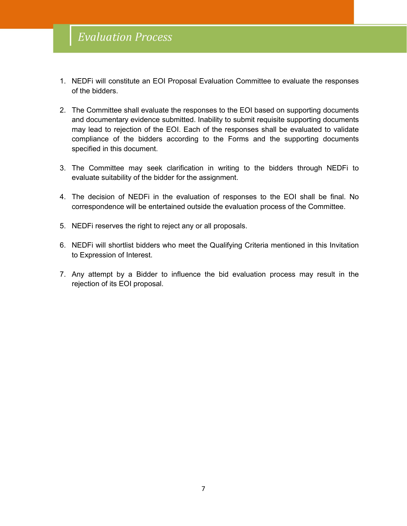- 1. NEDFi will constitute an EOI Proposal Evaluation Committee to evaluate the responses of the bidders.
- 2. The Committee shall evaluate the responses to the EOI based on supporting documents and documentary evidence submitted. Inability to submit requisite supporting documents may lead to rejection of the EOI. Each of the responses shall be evaluated to validate compliance of the bidders according to the Forms and the supporting documents specified in this document.
- 3. The Committee may seek clarification in writing to the bidders through NEDFi to evaluate suitability of the bidder for the assignment.
- 4. The decision of NEDFi in the evaluation of responses to the EOI shall be final. No correspondence will be entertained outside the evaluation process of the Committee.5. NEDFi reserves the right to reject any or all proposals.
- 
- 6. NEDFi will shortlist bidders who meet the Qualifying Criteria mentioned in this Invitation to Expression of Interest.
- 7. Any attempt by a Bidder to influence the bid evaluation process may result in the rejection of its EOI proposal.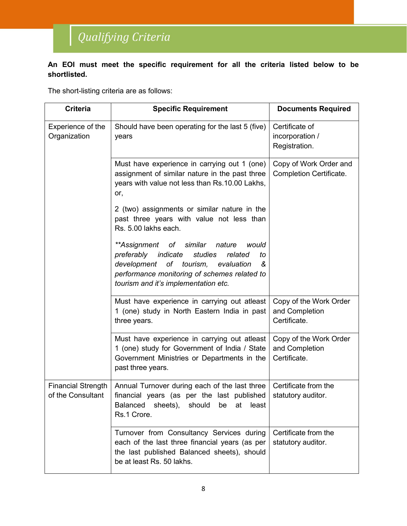# Qualifying Criteria

#### **An EOI must meet the specific requirement for all the criteria listed below to be shortlisted.**

The short-listing criteria are as follows:

| <b>Criteria</b>                                | <b>Specific Requirement</b>                                                                                                                                                                                                            |                                                          |
|------------------------------------------------|----------------------------------------------------------------------------------------------------------------------------------------------------------------------------------------------------------------------------------------|----------------------------------------------------------|
| Experience of the<br>Organization              | Should have been operating for the last 5 (five)<br>years                                                                                                                                                                              | Certificate of<br>incorporation /<br>Registration.       |
|                                                | Must have experience in carrying out 1 (one)<br>assignment of similar nature in the past three<br>years with value not less than Rs.10.00 Lakhs,<br>or,                                                                                | Copy of Work Order and<br>Completion Certificate.        |
|                                                | 2 (two) assignments or similar nature in the<br>past three years with value not less than<br>Rs. 5.00 lakhs each.                                                                                                                      |                                                          |
|                                                | **Assignment of<br>similar<br>nature<br>would<br>preferably indicate<br>studies<br>related<br>to<br>development of tourism,<br>evaluation<br>ଝ<br>performance monitoring of schemes related to<br>tourism and it's implementation etc. |                                                          |
|                                                | Must have experience in carrying out atleast<br>1 (one) study in North Eastern India in past<br>three years.                                                                                                                           | Copy of the Work Order<br>and Completion<br>Certificate. |
|                                                | Must have experience in carrying out atleast<br>1 (one) study for Government of India / State<br>Government Ministries or Departments in the<br>past three years.                                                                      | Copy of the Work Order<br>and Completion<br>Certificate. |
| <b>Financial Strength</b><br>of the Consultant | Annual Turnover during each of the last three<br>financial years (as per the last published<br>least<br><b>Balanced</b><br>sheets),<br>should be<br>at<br>Rs.1 Crore.                                                                  | Certificate from the<br>statutory auditor.               |
|                                                | Turnover from Consultancy Services during<br>each of the last three financial years (as per<br>the last published Balanced sheets), should<br>be at least Rs. 50 lakhs.                                                                | Certificate from the<br>statutory auditor.               |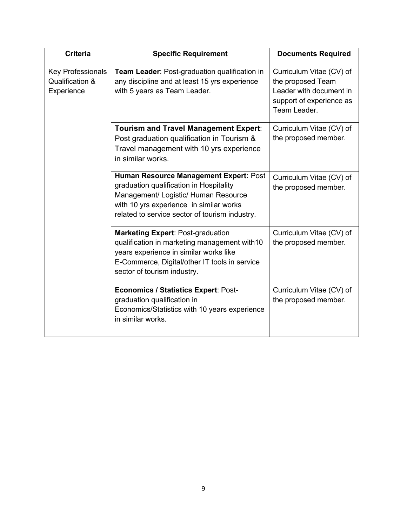| <b>Criteria</b>                                           | <b>Specific Requirement</b>                                                                                                                                                                                            | <b>Documents Required</b>                                                                                            |
|-----------------------------------------------------------|------------------------------------------------------------------------------------------------------------------------------------------------------------------------------------------------------------------------|----------------------------------------------------------------------------------------------------------------------|
| <b>Key Professionals</b><br>Qualification &<br>Experience | <b>Team Leader: Post-graduation qualification in</b><br>any discipline and at least 15 yrs experience<br>with 5 years as Team Leader.                                                                                  | Curriculum Vitae (CV) of<br>the proposed Team<br>Leader with document in<br>support of experience as<br>Team Leader. |
|                                                           | <b>Tourism and Travel Management Expert:</b><br>Post graduation qualification in Tourism &<br>Travel management with 10 yrs experience<br>in similar works.                                                            | Curriculum Vitae (CV) of<br>the proposed member.                                                                     |
|                                                           | Human Resource Management Expert: Post<br>graduation qualification in Hospitality<br>Management/ Logistic/ Human Resource<br>with 10 yrs experience in similar works<br>related to service sector of tourism industry. | Curriculum Vitae (CV) of<br>the proposed member.                                                                     |
|                                                           | <b>Marketing Expert: Post-graduation</b><br>qualification in marketing management with 10<br>years experience in similar works like<br>E-Commerce, Digital/other IT tools in service<br>sector of tourism industry.    | Curriculum Vitae (CV) of<br>the proposed member.                                                                     |
|                                                           | <b>Economics / Statistics Expert: Post-</b><br>graduation qualification in<br>Economics/Statistics with 10 years experience<br>in similar works.                                                                       | Curriculum Vitae (CV) of<br>the proposed member.                                                                     |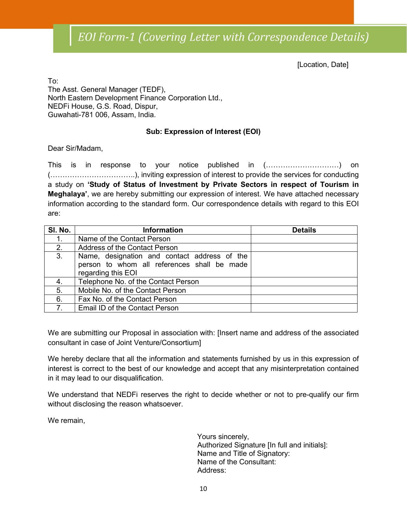[Location, Date]

To: The Asst. General Manager (TEDF), North Eastern Development Finance Corporation Ltd., NEDFi House, G.S. Road, Dispur, Guwahati-781 006, Assam, India.

#### **Sub: Expression of Interest (EOI)**

Dear Sir/Madam,

This is in response to your notice published in (…………………………) on (……………………………..), inviting expression of interest to provide the services for conducting a study on **'Study of Status of Investment by Private Sectors in respect of Tourism in Meghalaya'**, we are hereby submitting our expression of interest. We have attached necessary information according to the standard form. Our correspondence details with regard to this EOI are:

| SI. No. | <b>Information</b>                           | <b>Details</b> |
|---------|----------------------------------------------|----------------|
| 1.      | Name of the Contact Person                   |                |
| 2.      | Address of the Contact Person                |                |
| 3.      | Name, designation and contact address of the |                |
|         | person to whom all references shall be made  |                |
|         | regarding this EOI                           |                |
| 4.      | Telephone No. of the Contact Person          |                |
| 5.      | Mobile No. of the Contact Person             |                |
| 6.      | Fax No. of the Contact Person                |                |
|         | Email ID of the Contact Person               |                |

We are submitting our Proposal in association with: [Insert name and address of the associated consultant in case of Joint Venture/Consortium]

We hereby declare that all the information and statements furnished by us in this expression of interest is correct to the best of our knowledge and accept that any misinterpretation contained in it may lead to our disqualification.

We understand that NEDFi reserves the right to decide whether or not to pre-qualify our firm without disclosing the reason whatsoever.

We remain,

Yours sincerely, Authorized Signature [In full and initials]: Name and Title of Signatory: Name of the Consultant: Address: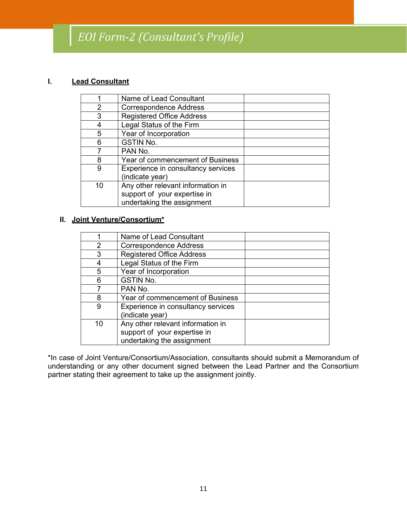## EOI Form-2 (Consultant's Profile)

#### **I. Lead Consultant**

|    | Name of Lead Consultant                                                                         |  |
|----|-------------------------------------------------------------------------------------------------|--|
| 2  | <b>Correspondence Address</b>                                                                   |  |
| 3  | <b>Registered Office Address</b>                                                                |  |
|    | Legal Status of the Firm                                                                        |  |
| 5  | Year of Incorporation                                                                           |  |
| 6  | <b>GSTIN No.</b>                                                                                |  |
|    | PAN No.                                                                                         |  |
| 8  | Year of commencement of Business                                                                |  |
| 9  | Experience in consultancy services<br>(indicate year)                                           |  |
| 10 | Any other relevant information in<br>support of your expertise in<br>undertaking the assignment |  |

#### **II. Joint Venture/Consortium\***

|    | Name of Lead Consultant                                                                         |  |
|----|-------------------------------------------------------------------------------------------------|--|
| 2  | <b>Correspondence Address</b>                                                                   |  |
| 3  | <b>Registered Office Address</b>                                                                |  |
|    | Legal Status of the Firm                                                                        |  |
| 5  | Year of Incorporation                                                                           |  |
| 6  | <b>GSTIN No.</b>                                                                                |  |
|    | PAN No.                                                                                         |  |
| 8  | Year of commencement of Business                                                                |  |
| 9  | Experience in consultancy services<br>(indicate year)                                           |  |
| 10 | Any other relevant information in<br>support of your expertise in<br>undertaking the assignment |  |

\*In case of Joint Venture/Consortium/Association, consultants should submit a Memorandum of understanding or any other document signed between the Lead Partner and the Consortium partner stating their agreement to take up the assignment jointly.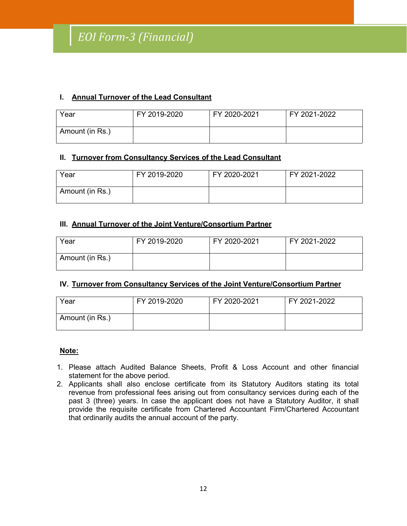#### **I. Annual Turnover of the Lead Consultant**

| Year            | FY 2019-2020 | FY 2020-2021 | FY 2021-2022 |
|-----------------|--------------|--------------|--------------|
| Amount (in Rs.) |              |              |              |

#### **II. Turnover from Consultancy Services of the Lead Consultant**

| Year            | FY 2019-2020 | FY 2020-2021 | FY 2021-2022 |
|-----------------|--------------|--------------|--------------|
| Amount (in Rs.) |              |              |              |

#### **III. Annual Turnover of the Joint Venture/Consortium Partner**

| Year            | FY 2019-2020 | FY 2020-2021 | FY 2021-2022 |
|-----------------|--------------|--------------|--------------|
| Amount (in Rs.) |              |              |              |

#### **IV. Turnover from Consultancy Services of the Joint Venture/Consortium Partner**

| Year            | FY 2019-2020 | FY 2020-2021 | FY 2021-2022 |
|-----------------|--------------|--------------|--------------|
| Amount (in Rs.) |              |              |              |

#### **Note:**

- 1. Please attach Audited Balance Sheets, Profit & Loss Accountand other financial statement for the above period.
- 2. Applicants shall also enclose certificate from its Statutory Auditors stating its total revenue from professional fees arising out from consultancy services during each of the past 3 (three) years. In case the applicant does not have a Statutory Auditor, it shall provide the requisite certificate from Chartered Accountant Firm/Chartered Accountant that ordinarily audits the annual account of the party.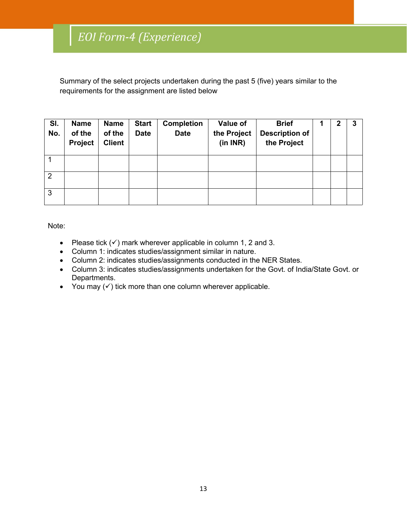Summary of the select projects undertaken during the past 5 (five) years similar to the requirements for the assignment are listed below

| SI.<br>No.     | <b>Name</b><br>of the<br>Project | <b>Name</b><br>of the<br><b>Client</b> | <b>Start</b><br><b>Date</b> | <b>Completion</b><br><b>Date</b> | Value of<br>the Project<br>(in INR) | <b>Brief</b><br><b>Description of</b><br>the Project | $\mathbf 2$ | 3 |
|----------------|----------------------------------|----------------------------------------|-----------------------------|----------------------------------|-------------------------------------|------------------------------------------------------|-------------|---|
|                |                                  |                                        |                             |                                  |                                     |                                                      |             |   |
| $\overline{2}$ |                                  |                                        |                             |                                  |                                     |                                                      |             |   |
| 3              |                                  |                                        |                             |                                  |                                     |                                                      |             |   |

Note:

- Please tick  $(v)$  mark wherever applicable in column 1, 2 and 3.
- Column 1: indicates studies/assignment similar in nature.
- Column 2: indicates studies/assignments conducted in the NER States.
- Column 3: indicates studies/assignments undertaken for the Govt. of India/State Govt. or Departments.
- You may  $(\checkmark)$  tick more than one column wherever applicable.